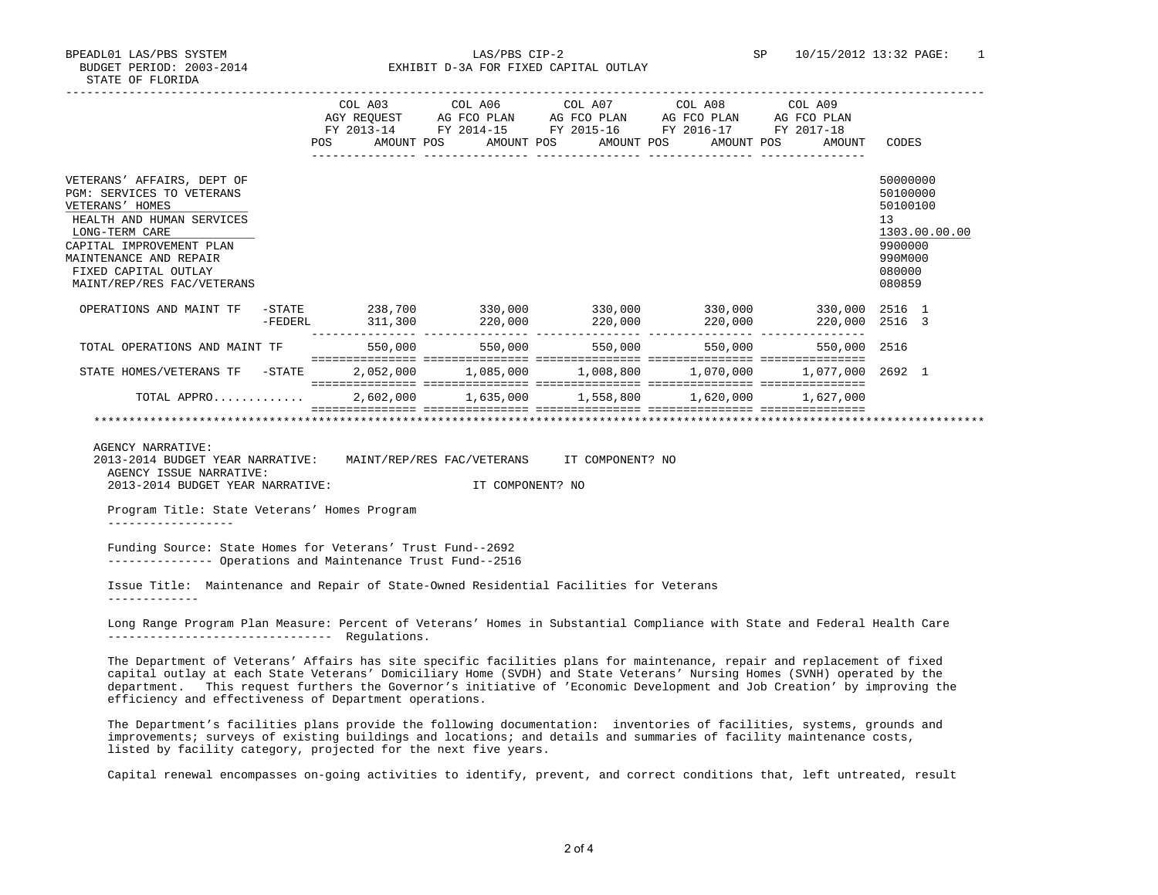BPEADL01 LAS/PBS SYSTEM LAS/PBS CIP-2 SP 10/15/2012 13:32 PAGE: 1 BUDGET PERIOD: 2003-2014 EXHIBIT D-3A FOR FIXED CAPITAL OUTLAY

|                                                                                                                                                                                                                                       |                   | POS |                    |                              |                 | COL A03 COL A06 COL A07 COL A08 COL A09<br>AGY REQUEST AG FCO PLAN AG FCO PLAN AG FCO PLAN<br>FY 2013-14 FY 2014-15 FY 2015-16 FY 2016-17 FY 2017-18<br>AMOUNT POS AMOUNT POS AMOUNT POS AMOUNT POS | AG FCO PLAN<br>AMOUNT            | CODES                                                                            |               |
|---------------------------------------------------------------------------------------------------------------------------------------------------------------------------------------------------------------------------------------|-------------------|-----|--------------------|------------------------------|-----------------|-----------------------------------------------------------------------------------------------------------------------------------------------------------------------------------------------------|----------------------------------|----------------------------------------------------------------------------------|---------------|
| VETERANS' AFFAIRS, DEPT OF<br>PGM: SERVICES TO VETERANS<br>VETERANS' HOMES<br>HEALTH AND HUMAN SERVICES<br>LONG-TERM CARE<br>CAPITAL IMPROVEMENT PLAN<br>MAINTENANCE AND REPAIR<br>FIXED CAPITAL OUTLAY<br>MAINT/REP/RES FAC/VETERANS |                   |     |                    |                              |                 |                                                                                                                                                                                                     |                                  | 50000000<br>50100000<br>50100100<br>13<br>9900000<br>990M000<br>080000<br>080859 | 1303.00.00.00 |
| OPERATIONS AND MAINT TF                                                                                                                                                                                                               | -STATE<br>-FEDERL |     | 238,700<br>311,300 | $330,000$ 330,000<br>220,000 | 220,000         | 330,000<br>220,000                                                                                                                                                                                  | 330,000 2516 1<br>220,000 2516 3 |                                                                                  |               |
| TOTAL OPERATIONS AND MAINT TF                                                                                                                                                                                                         |                   |     | 550,000            |                              | 550,000 550,000 | 550,000                                                                                                                                                                                             | 550,000 2516                     |                                                                                  |               |
| STATE HOMES/VETERANS TF -STATE                                                                                                                                                                                                        |                   |     |                    |                              |                 | 2,052,000 1,085,000 1,008,800 1,070,000 1,077,000 2692 1                                                                                                                                            |                                  |                                                                                  |               |
| TOTAL APPRO                                                                                                                                                                                                                           |                   |     |                    |                              |                 |                                                                                                                                                                                                     | 1,627,000                        |                                                                                  |               |
|                                                                                                                                                                                                                                       |                   |     |                    |                              |                 |                                                                                                                                                                                                     |                                  |                                                                                  |               |

AGENCY NARRATIVE:

 2013-2014 BUDGET YEAR NARRATIVE: MAINT/REP/RES FAC/VETERANS IT COMPONENT? NO AGENCY ISSUE NARRATIVE: 2013-2014 BUDGET YEAR NARRATIVE: IT COMPONENT? NO

 Program Title: State Veterans' Homes Program ------------------

 Funding Source: State Homes for Veterans' Trust Fund--2692 --------------- Operations and Maintenance Trust Fund--2516

 Issue Title: Maintenance and Repair of State-Owned Residential Facilities for Veterans -------------

 Long Range Program Plan Measure: Percent of Veterans' Homes in Substantial Compliance with State and Federal Health Care -------------------------------- Regulations.

 The Department of Veterans' Affairs has site specific facilities plans for maintenance, repair and replacement of fixed capital outlay at each State Veterans' Domiciliary Home (SVDH) and State Veterans' Nursing Homes (SVNH) operated by the department. This request furthers the Governor's initiative of 'Economic Development and Job Creation' by improving the efficiency and effectiveness of Department operations.

 The Department's facilities plans provide the following documentation: inventories of facilities, systems, grounds and improvements; surveys of existing buildings and locations; and details and summaries of facility maintenance costs, listed by facility category, projected for the next five years.

Capital renewal encompasses on-going activities to identify, prevent, and correct conditions that, left untreated, result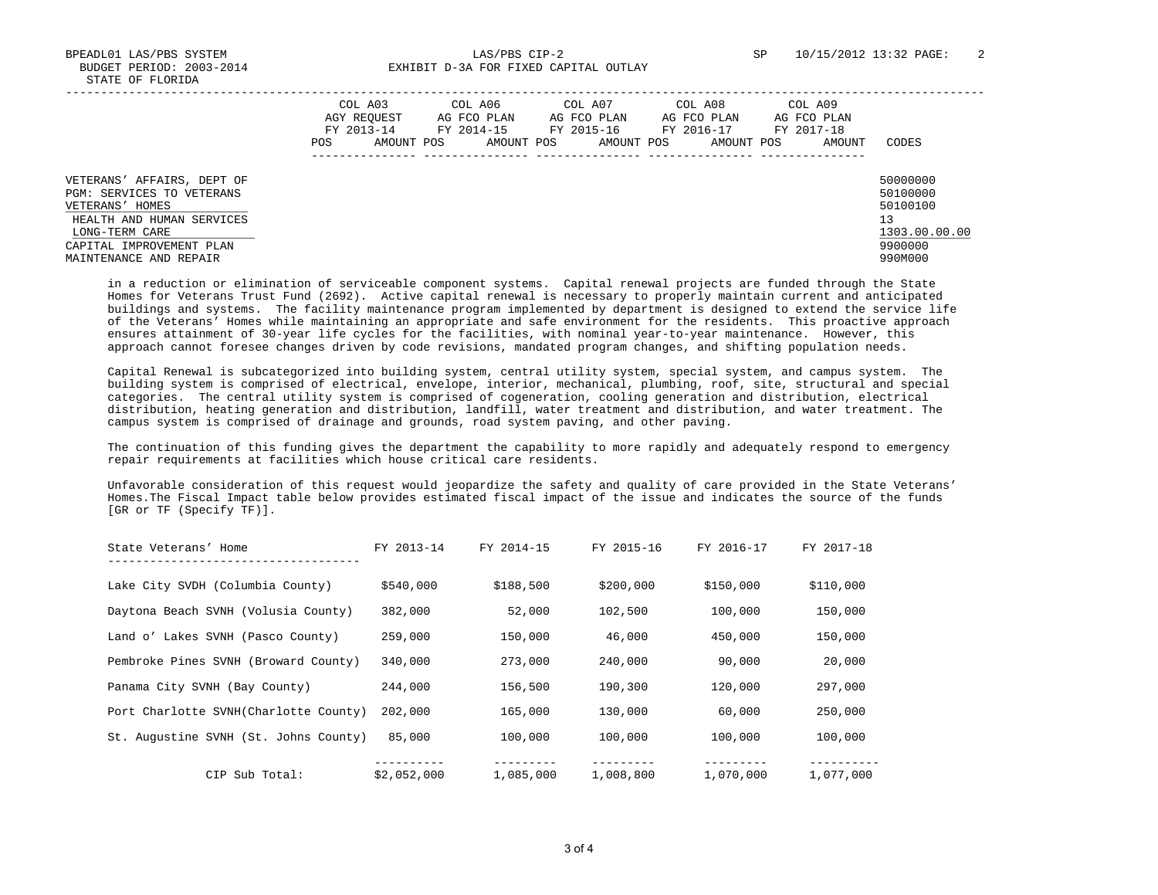BPEADL01 LAS/PBS SYSTEM LAS/PBS CIP-2 SP 10/15/2012 13:32 PAGE: 2 BUDGET PERIOD: 2003-2014 EXHIBIT D-3A FOR FIXED CAPITAL OUTLAY

|                                                                                                                           | COL A03<br>AGY REOUEST<br>FY 2013-14<br>AMOUNT POS<br>POS. | COL A06<br>AG FCO PLAN<br>FY 2014-15<br>AMOUNT POS | COL A07<br>AG FCO PLAN<br>FY 2015-16<br>AMOUNT POS | COL A08<br>AG FCO PLAN<br>FY 2016-17<br>AMOUNT POS | COL A09<br>AG FCO PLAN<br>FY 2017-18<br>AMOUNT | CODES                                                   |
|---------------------------------------------------------------------------------------------------------------------------|------------------------------------------------------------|----------------------------------------------------|----------------------------------------------------|----------------------------------------------------|------------------------------------------------|---------------------------------------------------------|
| VETERANS' AFFAIRS, DEPT OF<br>PGM: SERVICES TO VETERANS<br>VETERANS' HOMES<br>HEALTH AND HUMAN SERVICES<br>LONG-TERM CARE |                                                            |                                                    |                                                    |                                                    |                                                | 50000000<br>50100000<br>50100100<br>13<br>1303.00.00.00 |
| CAPITAL IMPROVEMENT PLAN<br>MAINTENANCE AND REPAIR                                                                        |                                                            |                                                    |                                                    |                                                    |                                                | 9900000<br>990M000                                      |

 in a reduction or elimination of serviceable component systems. Capital renewal projects are funded through the State Homes for Veterans Trust Fund (2692). Active capital renewal is necessary to properly maintain current and anticipated buildings and systems. The facility maintenance program implemented by department is designed to extend the service life of the Veterans' Homes while maintaining an appropriate and safe environment for the residents. This proactive approach ensures attainment of 30-year life cycles for the facilities, with nominal year-to-year maintenance. However, this approach cannot foresee changes driven by code revisions, mandated program changes, and shifting population needs.

 Capital Renewal is subcategorized into building system, central utility system, special system, and campus system. The building system is comprised of electrical, envelope, interior, mechanical, plumbing, roof, site, structural and special categories. The central utility system is comprised of cogeneration, cooling generation and distribution, electrical distribution, heating generation and distribution, landfill, water treatment and distribution, and water treatment. The campus system is comprised of drainage and grounds, road system paving, and other paving.

 The continuation of this funding gives the department the capability to more rapidly and adequately respond to emergency repair requirements at facilities which house critical care residents.

 Unfavorable consideration of this request would jeopardize the safety and quality of care provided in the State Veterans' Homes.The Fiscal Impact table below provides estimated fiscal impact of the issue and indicates the source of the funds [GR or TF (Specify TF)].

| State Veterans' Home                  | FY 2013-14  | FY 2014-15 | FY 2015-16 | FY 2016-17 | FY 2017-18 |
|---------------------------------------|-------------|------------|------------|------------|------------|
| Lake City SVDH (Columbia County)      | \$540,000   | \$188,500  | \$200,000  | \$150,000  | \$110,000  |
| Daytona Beach SVNH (Volusia County)   | 382,000     | 52,000     | 102,500    | 100,000    | 150,000    |
| Land o' Lakes SVNH (Pasco County)     | 259,000     | 150,000    | 46,000     | 450,000    | 150,000    |
| Pembroke Pines SVNH (Broward County)  | 340,000     | 273,000    | 240,000    | 90,000     | 20,000     |
| Panama City SVNH (Bay County)         | 244,000     | 156,500    | 190,300    | 120,000    | 297,000    |
| Port Charlotte SVNH(Charlotte County) | 202,000     | 165,000    | 130,000    | 60,000     | 250,000    |
| St. Augustine SVNH (St. Johns County) | 85,000      | 100,000    | 100,000    | 100,000    | 100,000    |
| CIP Sub Total:                        | \$2.052.000 | 1,085,000  | 1,008,800  | 1,070,000  | 1,077,000  |